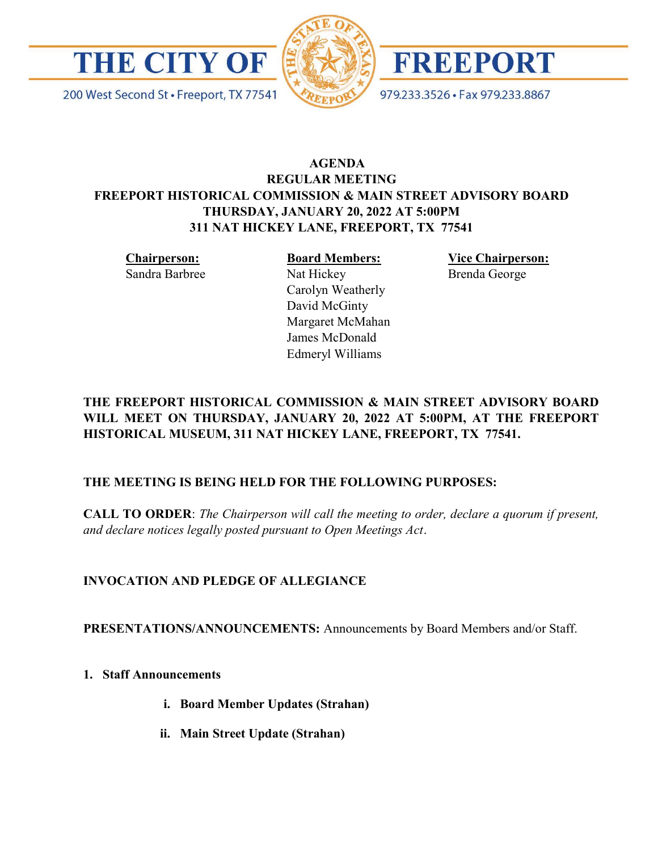

200 West Second St · Freeport, TX 77541





979.233.3526 · Fax 979.233.8867

## AGENDA REGULAR MEETING FREEPORT HISTORICAL COMMISSION & MAIN STREET ADVISORY BOARD THURSDAY, JANUARY 20, 2022 AT 5:00PM 311 NAT HICKEY LANE, FREEPORT, TX 77541

Chairperson: Sandra Barbree Board Members: Nat Hickey Carolyn Weatherly David McGinty Margaret McMahan James McDonald Edmeryl Williams

Vice Chairperson: Brenda George

# THE FREEPORT HISTORICAL COMMISSION & MAIN STREET ADVISORY BOARD WILL MEET ON THURSDAY, JANUARY 20, 2022 AT 5:00PM, AT THE FREEPORT HISTORICAL MUSEUM, 311 NAT HICKEY LANE, FREEPORT, TX 77541.

# THE MEETING IS BEING HELD FOR THE FOLLOWING PURPOSES:

CALL TO ORDER: The Chairperson will call the meeting to order, declare a quorum if present, and declare notices legally posted pursuant to Open Meetings Act.

## INVOCATION AND PLEDGE OF ALLEGIANCE

PRESENTATIONS/ANNOUNCEMENTS: Announcements by Board Members and/or Staff.

1. Staff Announcements

- i. Board Member Updates (Strahan)
- ii. Main Street Update (Strahan)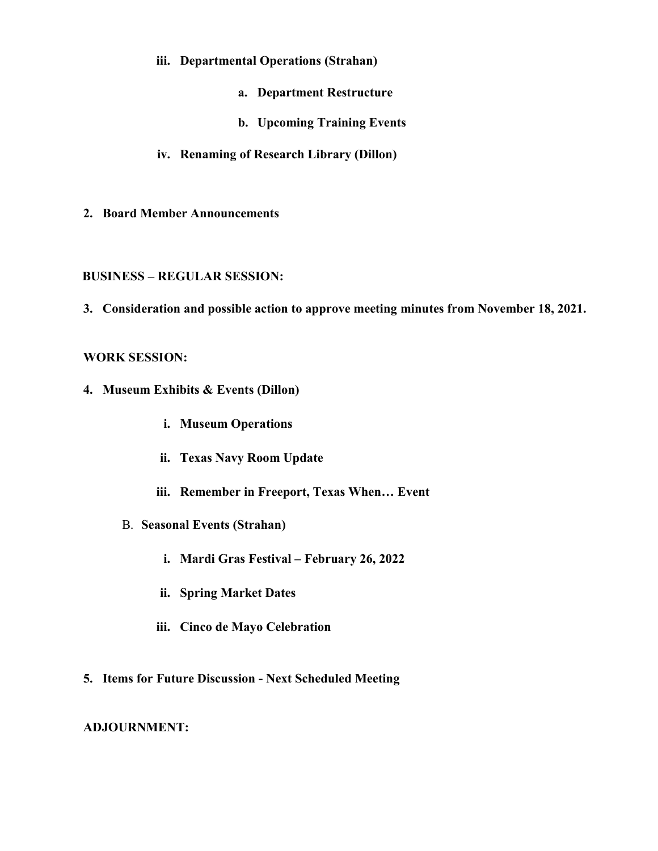- iii. Departmental Operations (Strahan)
	- a. Department Restructure
	- b. Upcoming Training Events
- iv. Renaming of Research Library (Dillon)
- 2. Board Member Announcements

#### BUSINESS – REGULAR SESSION:

3. Consideration and possible action to approve meeting minutes from November 18, 2021.

#### WORK SESSION:

- 4. Museum Exhibits & Events (Dillon)
	- i. Museum Operations
	- ii. Texas Navy Room Update
	- iii. Remember in Freeport, Texas When… Event
	- B. Seasonal Events (Strahan)
		- i. Mardi Gras Festival February 26, 2022
		- ii. Spring Market Dates
		- iii. Cinco de Mayo Celebration
- 5. Items for Future Discussion Next Scheduled Meeting

### ADJOURNMENT: